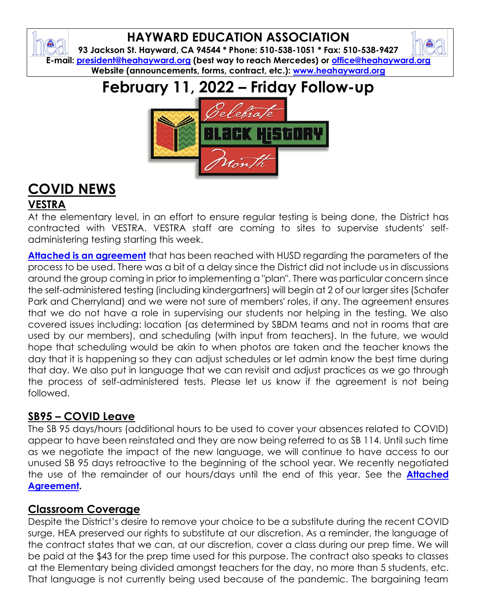## **HAYWARD EDUCATION ASSOCIATION**

ଈ

**93 Jackson St. Hayward, CA 94544 \* Phone: 510-538-1051 \* Fax: 510-538-9427 E-mail: [president@heahayward.org](mailto:president@heahayward.org) (best way to reach Mercedes) or [office@heahayward.org](mailto:office@heahayward.org) Website (announcements, forms, contract, etc.): [www.heahayward.org](http://www.heahayward.org/)**

# **February 11, 2022 – Friday Follow-up**



# **COVID NEWS**

## **VESTRA**

At the elementary level, in an effort to ensure regular testing is being done, the District has contracted with VESTRA. VESTRA staff are coming to sites to supervise students' selfadministering testing starting this week.

**[Attached is an agreement](https://drive.google.com/file/d/1bupo8A0mo2aAbvplNVnQW0wuS0iACM-o/view?usp=sharing)** that has been reached with HUSD regarding the parameters of the process to be used. There was a bit of a delay since the District did not include us in discussions around the group coming in prior to implementing a "plan". There was particular concern since the self-administered testing (including kindergartners) will begin at 2 of our larger sites (Schafer Park and Cherryland) and we were not sure of members' roles, if any. The agreement ensures that we do not have a role in supervising our students nor helping in the testing. We also covered issues including: location (as determined by SBDM teams and not in rooms that are used by our members), and scheduling (with input from teachers). In the future, we would hope that scheduling would be akin to when photos are taken and the teacher knows the day that it is happening so they can adjust schedules or let admin know the best time during that day. We also put in language that we can revisit and adjust practices as we go through the process of self-administered tests. Please let us know if the agreement is not being followed.

## **SB95 – COVID Leave**

The SB 95 days/hours (additional hours to be used to cover your absences related to COVID) appear to have been reinstated and they are now being referred to as SB 114. Until such time as we negotiate the impact of the new language, we will continue to have access to our unused SB 95 days retroactive to the beginning of the school year. We recently negotiated the use of the remainder of our hours/days until the end of this year. See the **[Attached](https://drive.google.com/file/d/1_YivWMzk0rSIaU8mqaqqh2mDORtjAhj8/view?usp=sharing)  [Agreement.](https://drive.google.com/file/d/1_YivWMzk0rSIaU8mqaqqh2mDORtjAhj8/view?usp=sharing)**

## **Classroom Coverage**

Despite the District's desire to remove your choice to be a substitute during the recent COVID surge, HEA preserved our rights to substitute at our discretion. As a reminder, the language of the contract states that we can, at our discretion, cover a class during our prep time. We will be paid at the \$43 for the prep time used for this purpose. The contract also speaks to classes at the Elementary being divided amongst teachers for the day, no more than 5 students, etc. That language is not currently being used because of the pandemic. The bargaining team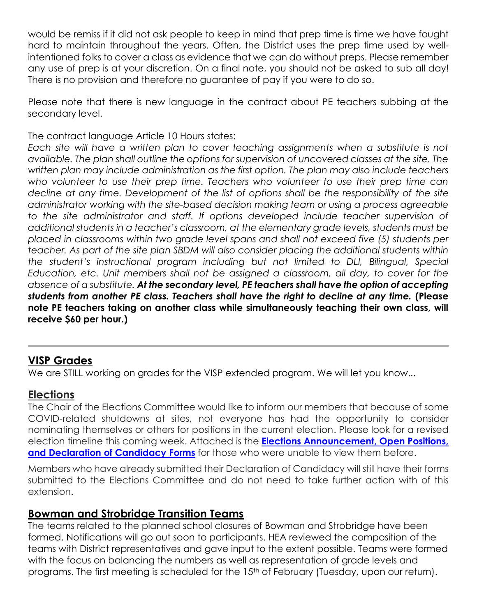would be remiss if it did not ask people to keep in mind that prep time is time we have fought hard to maintain throughout the years. Often, the District uses the prep time used by wellintentioned folks to cover a class as evidence that we can do without preps. Please remember any use of prep is at your discretion. On a final note, you should not be asked to sub all day! There is no provision and therefore no guarantee of pay if you were to do so.

Please note that there is new language in the contract about PE teachers subbing at the secondary level.

The contract language Article 10 Hours states:

*Each site will have a written plan to cover teaching assignments when a substitute is not available. The plan shall outline the options for supervision of uncovered classes at the site. The written plan may include administration as the first option. The plan may also include teachers who volunteer to use their prep time. Teachers who volunteer to use their prep time can decline at any time. Development of the list of options shall be the responsibility of the site administrator working with the site-based decision making team or using a process agreeable to the site administrator and staff. If options developed include teacher supervision of additional students in a teacher's classroom, at the elementary grade levels, students must be placed in classrooms within two grade level spans and shall not exceed five (5) students per teacher. As part of the site plan SBDM will also consider placing the additional students within the student's instructional program including but not limited to DLI, Bilingual, Special Education, etc. Unit members shall not be assigned a classroom, all day, to cover for the absence of a substitute. At the secondary level, PE teachers shall have the option of accepting students from another PE class. Teachers shall have the right to decline at any time.* **(Please note PE teachers taking on another class while simultaneously teaching their own class, will receive \$60 per hour.)**

### **VISP Grades**

We are STILL working on grades for the VISP extended program. We will let you know...

### **Elections**

The Chair of the Elections Committee would like to inform our members that because of some COVID-related shutdowns at sites, not everyone has had the opportunity to consider nominating themselves or others for positions in the current election. Please look for a revised election timeline this coming week. Attached is the **[Elections Announcement, Open Positions,](https://drive.google.com/drive/folders/1Fbl0qyty9WhAgZVRV1LOMSHzml4dpXhh?usp=sharing)**  and Declaration of **Candidacy Forms** for those who were unable to view them before.

Members who have already submitted their Declaration of Candidacy will still have their forms submitted to the Elections Committee and do not need to take further action with of this extension.

#### **Bowman and Strobridge Transition Teams**

The teams related to the planned school closures of Bowman and Strobridge have been formed. Notifications will go out soon to participants. HEA reviewed the composition of the teams with District representatives and gave input to the extent possible. Teams were formed with the focus on balancing the numbers as well as representation of grade levels and programs. The first meeting is scheduled for the 15<sup>th</sup> of February (Tuesday, upon our return).